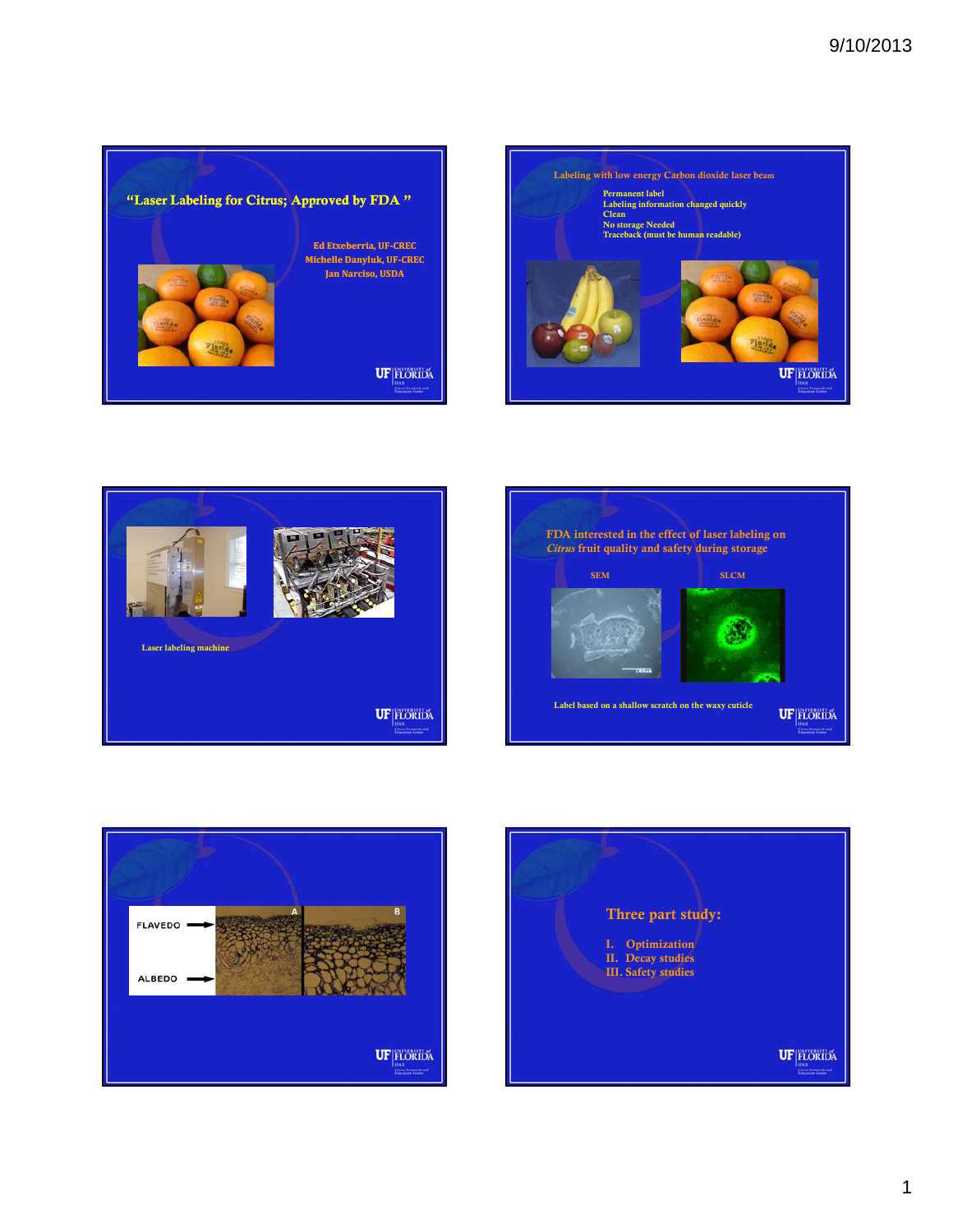









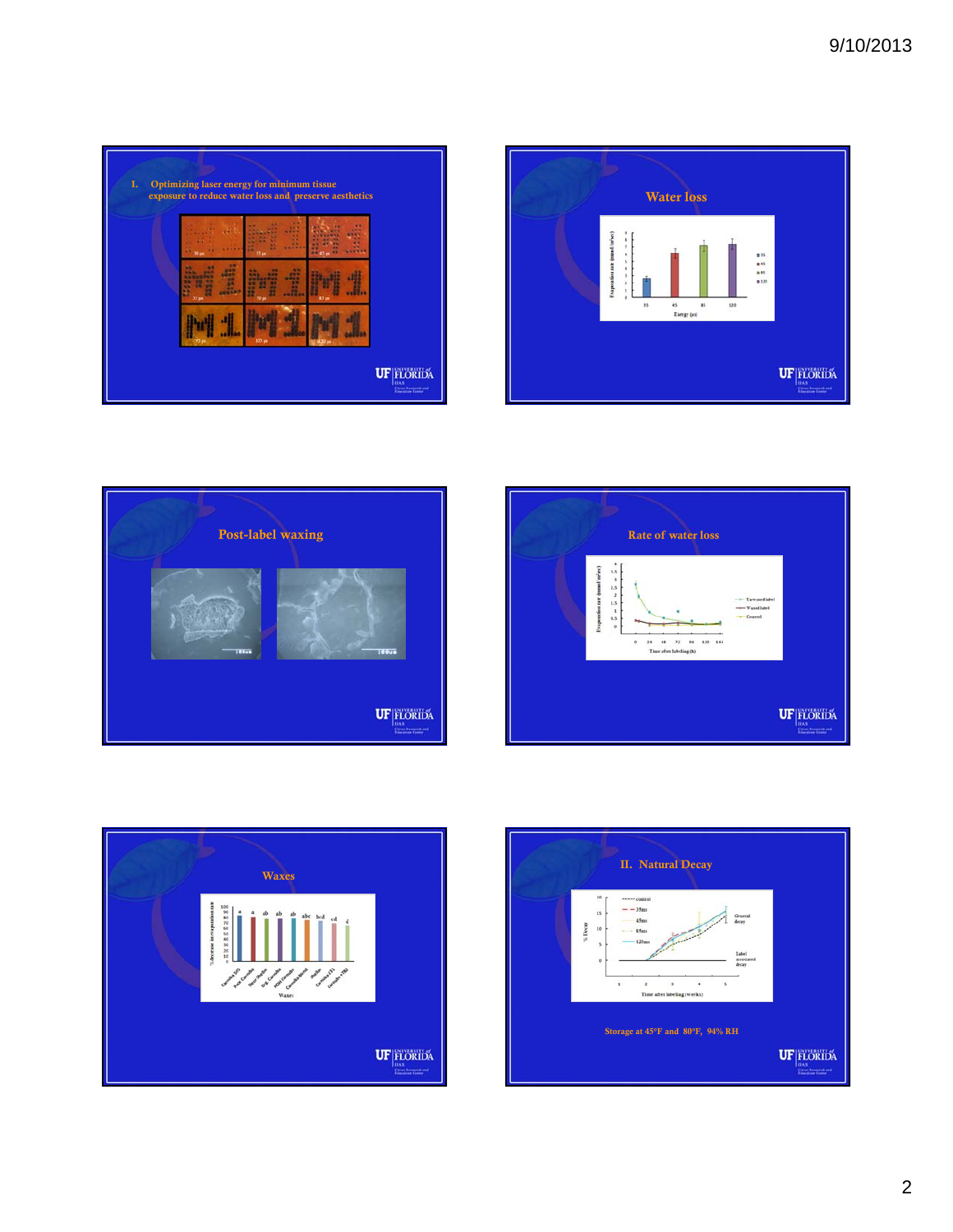

| 30 us | 33 jm   | $-1$<br><b>TELEVIS</b><br>. .<br>. .<br><br><b>THEFT</b><br><br><b>PE 45m FT</b> | <br>$-1$<br><b>TEXT</b><br><b>The Contract</b><br>. .<br><br><br><b>MENTINE</b> |  |
|-------|---------|----------------------------------------------------------------------------------|---------------------------------------------------------------------------------|--|
| w     | .<br>TT | œ<br>--                                                                          |                                                                                 |  |
| 55 pm | 70 m    | \$5 un                                                                           |                                                                                 |  |







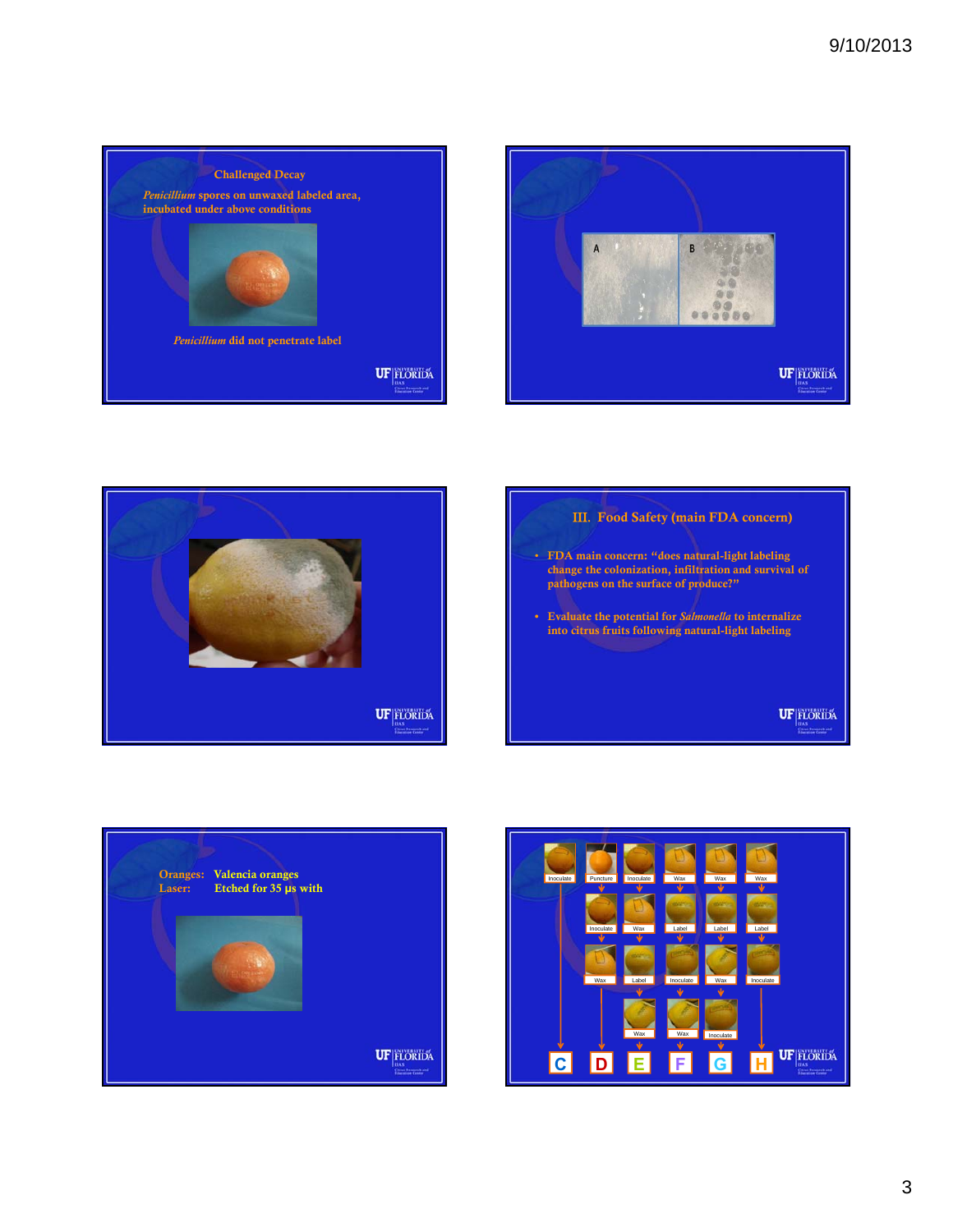